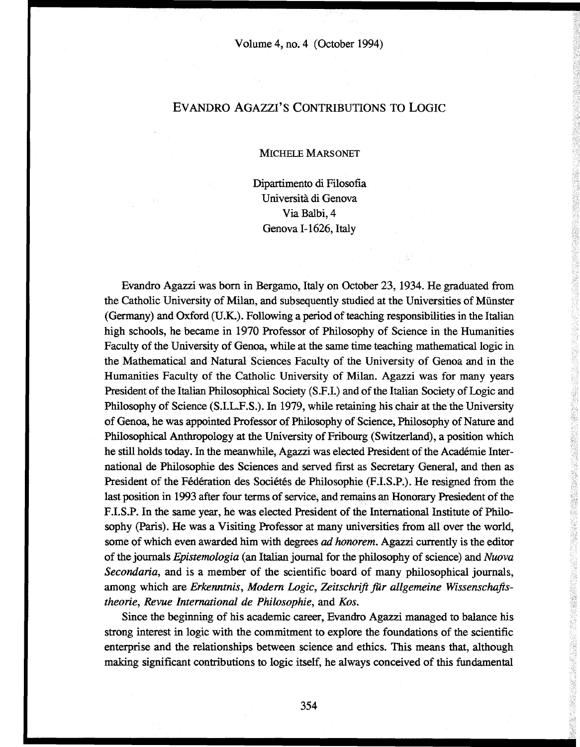## EVANDRO AGAZZI'S CONTRIBUTIONS TO LOGIC

## MICHELE MARSOMÉT

Dipartimento di Filosofia Università di Genova Via Balbi, 4 Genova 1-1626, Italy

Evandro Agazzi was born in Bergamo, Italy on October 23, 1934. He graduated from the Catholic Umversity of Milan, and subsequently studied at the Universities of Münster (Germany) and Oxford (U.K.). Following a period of teaching responsibilities in the Italian high schools, he became in 1970 Professor of Philosophy of Science in the Humanities Faculty of the University of Genoa, while at the same time teaching mathematical logic in the Mathematical and Natural Sciences Faculty of the University of Genoa and in the Humanities Faculty of the Catholic University of Milan. Agazzi was for many years President of the Italian Philosophical Society (S.F.I.) and of the Italian Society of Logic and Philosophy of Science (S.I.L.F.S.). In 1979, while retaining his chair at the the University of Genoa, he was appointed Professor of Philosophy of Science, Philosophy of Nature and Philosophical Anthropology at the University of Fribourg (Switzerland), a position which he still holds today. In the meanwhile, Agazzi was elected President of the Académie International de Philosophie des Sciences and served first as Secretary General, and then as President of the Fédération des Sociétés de Philosophie (F.I.S.P.). He resigned from the last position in 1993 after four terms of service, and remains an Honorary Presiedent of the F.I.S.P. In the same year, he was elected President of the International Institute of Philosophy (Paris). He was a Visiting Professor at many universities from all over the world, some of which even awarded him with degrees *ad honorem.* Agazzi currently is the editor of the journals *Epistemologia* (an Italian journal for the philosophy of science) and *Nuova Secondaria,* and is a member of the scientific board of many philosophical journals, among which are *Erkenntnis, Modern Logic, Zeitschrift flir allgemeine Wissenschaftstheorie, Revue International de Philosophie,* and *Kos.*

Since the beginning of his academic career, Evandro Agazzi managed to balance his strong interest in logic with the commitment to explore the foundations of the scientific enterprise and the relationships between science and ethics. This means that, although making significant contributions to logic itself, he always conceived of this fundamental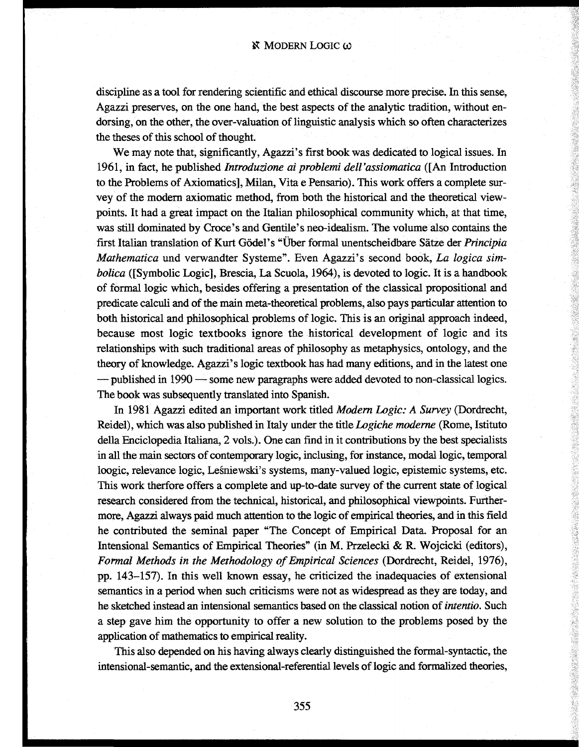discipline as a tool for rendering scientific and ethical discourse more precise. In this sense, Agazzi preserves, on the one hand, the best aspects of the analytic tradition, without endorsing, on the other, the over-valuation of linguistic analysis which so often characterizes the theses of this school of thought.

We may note that, significantly, Agazzi's first book was dedicated to logical issues. In 1961, in fact, he published *Introduzione ai problemi dell'assiomatica* ([An Introduction to the Problems of Axiomatics], Milan, Vita e Pensario). This work offers a complete survey of the modern axiomatic method, from both the historical and the theoretical viewpoints. It had a great impact on the Italian philosophical community which, at that time, was still dominated by Croce's and Gentile's neo-idealism. The volume also contains the first Italian translation of Kurt Godei's "Über formal unentscheidbare Sätze der *Principia Mathematica* und verwandter Systeme". Even Agazzi's second book, *La logica simbolica* ([Symbolic Logic], Brescia, La Scuola, 1964), is devoted to logic. It is a handbook of formal logic which, besides offering a presentation of the classical propositional and predicate calculi and of the main meta-theoretical problems, also pays particular attention to both historical and philosophical problems of logic. This is an original approach indeed, because most logic textbooks ignore the historical development of logic and its relationships with such traditional areas of philosophy as metaphysics, ontology, and the theory of knowledge. Agazzi's logic textbook has had many editions, and in the latest one — published in 1990 — some new paragraphs were added devoted to non-classical logics. The book was subsequently translated into Spanish.

In 1981 Agazzi edited an important work titled *Modern Logic: A Survey* (Dordrecht, Reidel), which was also published in Italy under the title *Logiche moderne* (Rome, Istituto della Enciclopedia Italiana, 2 vols.). One can find in it contributions by the best specialists in all the main sectors of contemporary logic, inclusing, for instance, modal logic, temporal loogic, relevance logic, Lesniewski's systems, many-valued logic, epistemic systems, etc. This work therfore offers a complete and up-to-date survey of the current state of logical research considered from the technical, historical, and philosophical viewpoints. Furthermore, Agazzi always paid much attention to the logic of empirical theories, and in this field he contributed the seminal paper "The Concept of Empirical Data. Proposal for an Intensional Semantics of Empirical Theories" (in M. Przelecki & R. Wojcicki (editors), *Formal Methods in the Methodology of Empirical Sciences* (Dordrecht, Reidel, 1976), pp. 143-157). In this well known essay, he criticized the inadequacies of extensional semantics in a period when such criticisms were not as widespread as they are today, and he sketched instead an intensional semantics based on the classical notion of *intentio.* Such a step gave him the opportunity to offer a new solution to the problems posed by the application of mathematics to empirical reality.

This also depended on his having always clearly distinguished the formal-syntactic, the intensional-semantic, and the extensional-referential levels of logic and formalized theories,

**L**